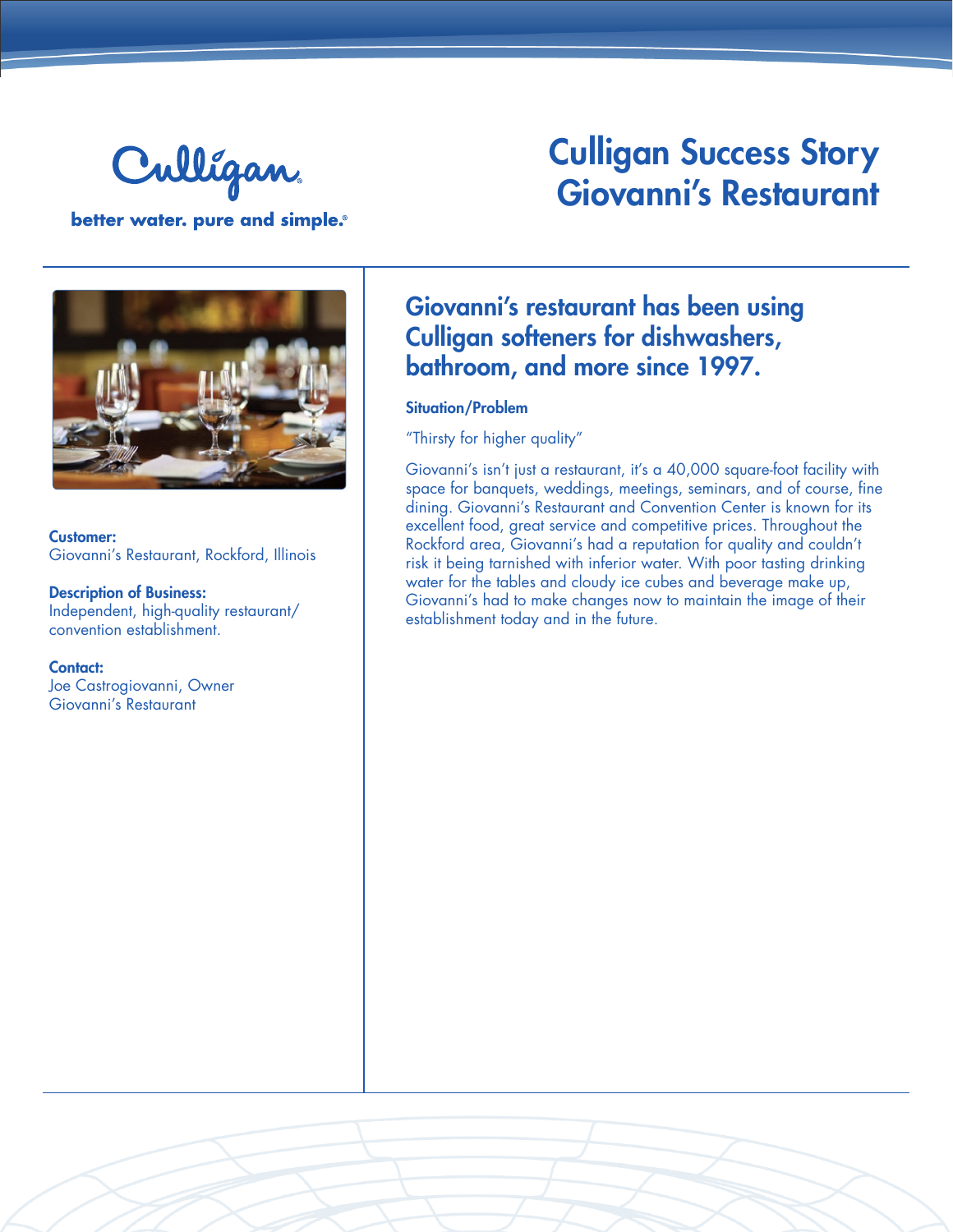

better water. pure and simple.®

# Culligan Success Story Giovanni's Restaurant



Customer: Giovanni's Restaurant, Rockford, Illinois

Description of Business: Independent, high-quality restaurant/ convention establishment.

Contact: Joe Castrogiovanni, Owner Giovanni's Restaurant

## Giovanni's restaurant has been using Culligan softeners for dishwashers, bathroom, and more since 1997.

#### Situation/Problem

"Thirsty for higher quality"

Giovanni's isn't just a restaurant, it's a 40,000 square-foot facility with space for banquets, weddings, meetings, seminars, and of course, fine dining. Giovanni's Restaurant and Convention Center is known for its excellent food, great service and competitive prices. Throughout the Rockford area, Giovanni's had a reputation for quality and couldn't risk it being tarnished with inferior water. With poor tasting drinking water for the tables and cloudy ice cubes and beverage make up, Giovanni's had to make changes now to maintain the image of their establishment today and in the future.